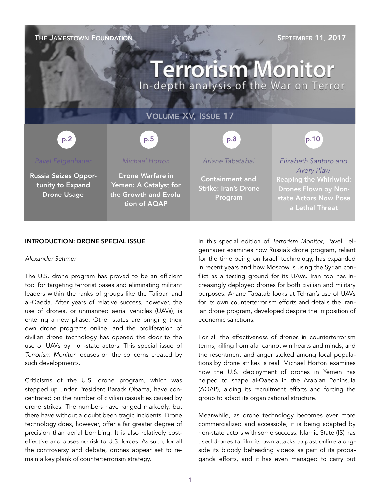### **THE JAMESTOWN FOUNDATION** SEPTEMBER 11, 2017

# **Terrorism Monitor** In-depth analysis of the War on Terror

### VOLUME XV, ISSUE 17

#### p.5 p.2 p.2 p.3 p.5 p.5 p.8 p.8 p.8 p.10

Russia Seizes Opportunity to Expand Drone Usage

#### *Michael Horton*

Drone Warfare in Yemen: A Catalyst for the Growth and Evolution of AQAP

#### *Ariane Tabatabai*

Containment and Strike: Iran's Drone Program

*Elizabeth Santoro and Avery Plaw*

Reaping the Whirlwind: Drones Flown by Nonstate Actors Now Pose a Lethal Threat

#### INTRODUCTION: DRONE SPECIAL ISSUE

#### *Alexander Sehmer*

The U.S. drone program has proved to be an efficient tool for targeting terrorist bases and eliminating militant leaders within the ranks of groups like the Taliban and al-Qaeda. After years of relative success, however, the use of drones, or unmanned aerial vehicles (UAVs), is entering a new phase. Other states are bringing their own drone programs online, and the proliferation of civilian drone technology has opened the door to the use of UAVs by non-state actors. This special issue of *Terrorism Monitor* focuses on the concerns created by such developments.

Criticisms of the U.S. drone program, which was stepped up under President Barack Obama, have concentrated on the number of civilian casualties caused by drone strikes. The numbers have ranged markedly, but there have without a doubt been tragic incidents. Drone technology does, however, offer a far greater degree of precision than aerial bombing. It is also relatively costeffective and poses no risk to U.S. forces. As such, for all the controversy and debate, drones appear set to remain a key plank of counterterrorism strategy.

In this special edition of *Terrorism Monitor*, Pavel Felgenhauer examines how Russia's drone program, reliant for the time being on Israeli technology, has expanded in recent years and how Moscow is using the Syrian conflict as a testing ground for its UAVs. Iran too has increasingly deployed drones for both civilian and military purposes. Ariane Tabatab looks at Tehran's use of UAVs for its own counterterrorism efforts and details the Iranian drone program, developed despite the imposition of economic sanctions.

For all the effectiveness of drones in counterterrorism terms, killing from afar cannot win hearts and minds, and the resentment and anger stoked among local populations by drone strikes is real. Michael Horton examines how the U.S. deployment of drones in Yemen has helped to shape al-Qaeda in the Arabian Peninsula (AQAP), aiding its recruitment efforts and forcing the group to adapt its organizational structure.

Meanwhile, as drone technology becomes ever more commercialized and accessible, it is being adapted by non-state actors with some success. Islamic State (IS) has used drones to film its own attacks to post online alongside its bloody beheading videos as part of its propaganda efforts, and it has even managed to carry out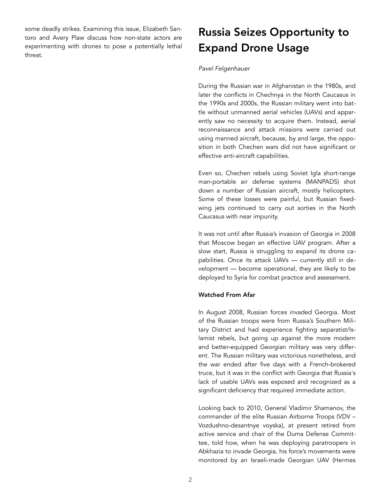some deadly strikes. Examining this issue, Elizabeth Santoro and Avery Plaw discuss how non-state actors are experimenting with drones to pose a potentially lethal threat.

### Russia Seizes Opportunity to Expand Drone Usage

#### *Pavel Felgenhauer*

During the Russian war in Afghanistan in the 1980s, and later the conflicts in Chechnya in the North Caucasus in the 1990s and 2000s, the Russian military went into battle without unmanned aerial vehicles (UAVs) and apparently saw no necessity to acquire them. Instead, aerial reconnaissance and attack missions were carried out using manned aircraft, because, by and large, the opposition in both Chechen wars did not have significant or effective anti-aircraft capabilities.

Even so, Chechen rebels using Soviet Igla short-range man-portable air defense systems (MANPADS) shot down a number of Russian aircraft, mostly helicopters. Some of these losses were painful, but Russian fixedwing jets continued to carry out sorties in the North Caucasus with near impunity.

It was not until after Russia's invasion of Georgia in 2008 that Moscow began an effective UAV program. After a slow start, Russia is struggling to expand its drone capabilities. Once its attack UAVs — currently still in development — become operational, they are likely to be deployed to Syria for combat practice and assessment.

#### Watched From Afar

In August 2008, Russian forces invaded Georgia. Most of the Russian troops were from Russia's Southern Military District and had experience fighting separatist/Islamist rebels, but going up against the more modern and better-equipped Georgian military was very different. The Russian military was victorious nonetheless, and the war ended after five days with a French-brokered truce, but it was in the conflict with Georgia that Russia's lack of usable UAVs was exposed and recognized as a significant deficiency that required immediate action.

Looking back to 2010, General Vladimir Shamanov, the commander of the elite Russian Airborne Troops (VDV – Vozdushno-desantnye voyska), at present retired from active service and chair of the Duma Defense Committee, told how, when he was deploying paratroopers in Abkhazia to invade Georgia, his force's movements were monitored by an Israeli-made Georgian UAV (Hermes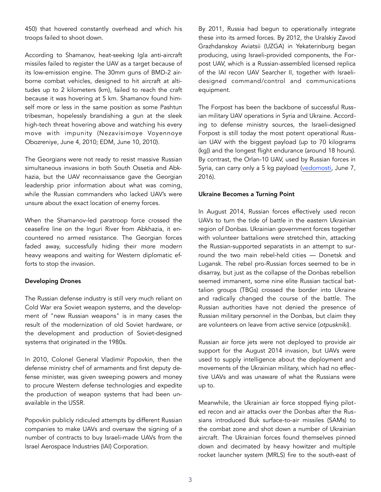450) that hovered constantly overhead and which his troops failed to shoot down.

According to Shamanov, heat-seeking Igla anti-aircraft missiles failed to register the UAV as a target because of its low-emission engine. The 30mm guns of BMD-2 airborne combat vehicles, designed to hit aircraft at altitudes up to 2 kilometers (km), failed to reach the craft because it was hovering at 5 km. Shamanov found himself more or less in the same position as some Pashtun tribesman, hopelessly brandishing a gun at the sleek high-tech threat hovering above and watching his every move with impunity (Nezavisimoye Voyennoye Obozreniye, June 4, 2010; EDM, June 10, 2010).

The Georgians were not ready to resist massive Russian simultaneous invasions in both South Ossetia and Abkhazia, but the UAV reconnaissance gave the Georgian leadership prior information about what was coming, while the Russian commanders who lacked UAV's were unsure about the exact location of enemy forces.

When the Shamanov-led paratroop force crossed the ceasefire line on the Inguri River from Abkhazia, it encountered no armed resistance. The Georgian forces faded away, successfully hiding their more modern heavy weapons and waiting for Western diplomatic efforts to stop the invasion.

#### Developing Drones

The Russian defense industry is still very much reliant on Cold War era Soviet weapon systems, and the development of "new Russian weapons" is in many cases the result of the modernization of old Soviet hardware, or the development and production of Soviet-designed systems that originated in the 1980s.

In 2010, Colonel General Vladimir Popovkin, then the defense ministry chef of armaments and first deputy defense minister, was given sweeping powers and money to procure Western defense technologies and expedite the production of weapon systems that had been unavailable in the USSR.

Popovkin publicly ridiculed attempts by different Russian companies to make UAVs and oversaw the signing of a number of contracts to buy Israeli-made UAVs from the Israel Aerospace Industries (IAI) Corporation.

By 2011, Russia had begun to operationally integrate these into its armed forces. By 2012, the Uralskiy Zavod Grazhdanskoy Aviatsii (UZGA) in Yekaterinburg began producing, using Israeli-provided components, the Forpost UAV, which is a Russian-assembled licensed replica of the IAI recon UAV Searcher II, together with Israelidesigned command/control and communications equipment.

The Forpost has been the backbone of successful Russian military UAV operations in Syria and Ukraine. According to defense ministry sources, the Israeli-designed Forpost is still today the most potent operational Russian UAV with the biggest payload (up to 70 kilograms (kg)) and the longest flight endurance (around 18 hours). By contrast, the Orlan-10 UAV, used by Russian forces in Syria, can carry only a 5 kg payload ([vedomosti,](https://www.vedomosti.ru/politics/articles/2016/06/07/643859-mlrd-rublei-beskonechnii-forpost) June 7, 2016).

#### Ukraine Becomes a Turning Point

In August 2014, Russian forces effectively used recon UAVs to turn the tide of battle in the eastern Ukrainian region of Donbas. Ukrainian government forces together with volunteer battalions were stretched thin, attacking the Russian-supported separatists in an attempt to surround the two main rebel-held cities — Donetsk and Lugansk. The rebel pro-Russian forces seemed to be in disarray, but just as the collapse of the Donbas rebellion seemed immanent, some nine elite Russian tactical battalion groups (TBGs) crossed the border into Ukraine and radically changed the course of the battle. The Russian authorities have not denied the presence of Russian military personnel in the Donbas, but claim they are volunteers on leave from active service (*otpuskniki*).

Russian air force jets were not deployed to provide air support for the August 2014 invasion, but UAVs were used to supply intelligence about the deployment and movements of the Ukrainian military, which had no effective UAVs and was unaware of what the Russians were up to.

Meanwhile, the Ukrainian air force stopped flying piloted recon and air attacks over the Donbas after the Russians introduced Buk surface-to-air missiles (SAMs) to the combat zone and shot down a number of Ukrainian aircraft. The Ukrainian forces found themselves pinned down and decimated by heavy howitzer and multiple rocket launcher system (MRLS) fire to the south-east of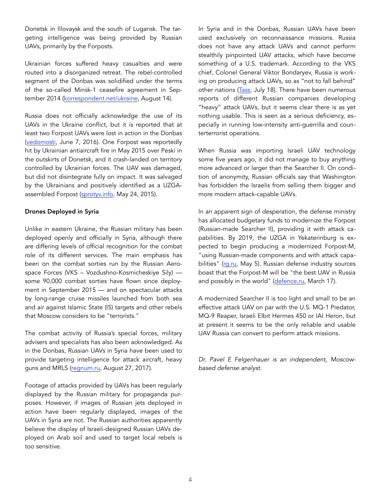Donetsk in Illovaysk and the south of Lugansk. The targeting intelligence was being provided by Russian UAVs, primarily by the Forposts.

Ukrainian forces suffered heavy casualties and were routed into a disorganized retreat. The rebel-controlled segment of the Donbas was solidified under the terms of the so-called Minsk-1 ceasefire agreement in September 2014 ([korrespondent.net/ukraine](http://korrespondent.net/ukraine/3877358-obnarodovan-tekst-otcheta-hpu-ob-ylovaiskom-kotle), August 14).

Russia does not officially acknowledge the use of its UAVs in the Ukraine conflict, but it is reported that at least two Forpost UAVs were lost in action in the Donbas ([vedomosti](https://www.vedomosti.ru/politics/articles/2016/06/07/643859-mlrd-rublei-beskonechnii-forpost), June 7, 2016). One Forpost was reportedly hit by Ukrainian antiaircraft fire in May 2015 over Peski in the outskirts of Donetsk, and it crash-landed on territory controlled by Ukrainian forces. The UAV was damaged, but did not disintegrate fully on impact. It was salvaged by the Ukrainians and positively identified as a UZGAassembled Forpost ([sprotyv.info,](http://sprotyv.info/ru/news/rossiyskiy-bpla-forpost-chto-pokazalo-vskrytie-foto) May 24, 2015).

#### Drones Deployed in Syria

Unlike in eastern Ukraine, the Russian military has been deployed openly and officially in Syria, although there are differing levels of official recognition for the combat role of its different services. The main emphasis has been on the combat sorties run by the Russian Aerospace Forces (VKS – Vozdushno-Kosmicheskiye Sily) some 90,000 combat sorties have flown since deployment in September 2015 — and on spectacular attacks by long-range cruise missiles launched from both sea and air against Islamic State (IS) targets and other rebels that Moscow considers to be "terrorists."

The combat activity of Russia's special forces, military advisers and specialists has also been acknowledged. As in the Donbas, Russian UAVs in Syria have been used to provide targeting intelligence for attack aircraft, heavy guns and MRLS ([regnum.ru,](https://regnum.ru/news/polit/2314397.html?google_editors_picks=true) August 27, 2017).

Footage of attacks provided by UAVs has been regularly displayed by the Russian military for propaganda purposes. However, if images of Russian jets deployed in action have been regularly displayed, images of the UAVs in Syria are not. The Russian authorities apparently believe the display of Israeli-designed Russian UAVs deployed on Arab soil and used to target local rebels is too sensitive.

In Syria and in the Donbas, Russian UAVs have been used exclusively on reconnaissance missions. Russia does not have any attack UAVs and cannot perform stealthily pinpointed UAV attacks, which have become something of a U.S. trademark. According to the VKS chief, Colonel General Viktor Bondaryev, Russia is working on producing attack UAVs, so as "not to fall behind" other nations ([Tass](http://tass.ru/armiya-i-opk/4422355), July 18). There have been numerous reports of different Russian companies developing "heavy" attack UAVs, but it seems clear there is as yet nothing usable. This is seen as a serious deficiency, especially in running low-intensity anti-guerrilla and counterterrorist operations.

When Russia was importing Israeli UAV technology some five years ago, it did not manage to buy anything more advanced or larger than the Searcher II. On condition of anonymity, Russian officials say that Washington has forbidden the Israelis from selling them bigger and more modern attack-capable UAVs.

In an apparent sign of desperation, the defense ministry has allocated budgetary funds to modernize the Forpost (Russian-made Searcher II), providing it with attack capabilities. By 2019, the UZGA in Yekaterinburg is expected to begin producing a modernized Forpost-M, "using Russian-made components and with attack capabilities" ([rg.ru](https://rg.ru/2017/05/05/razvedyvatelnye-drony-forpost-prevratiat-v-udarnye-bespilotniki.html), May 5). Russian defense industry sources boast that the Forpost-M will be "the best UAV in Russia and possibly in the world" ([defence.ru](https://defence.ru/article/izrailskii-bpla-forpost-moderniziruyut-v-rossii/), March 17).

A modernized Searcher II is too light and small to be an effective attack UAV on par with the U.S. MQ-1 Predator, MQ-9 Reaper, Israeli Elbit Hermes 450 or IAI Heron, but at present it seems to be the only reliable and usable UAV Russia can convert to perform attack missions.

*Dr. Pavel E Felgenhauer is an independent, Moscowbased defense analyst.*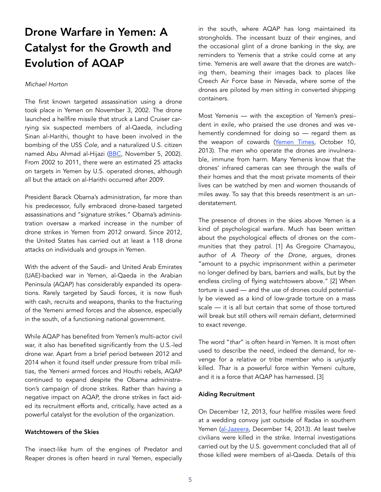## Drone Warfare in Yemen: A Catalyst for the Growth and Evolution of AQAP

#### *Michael Horton*

The first known targeted assassination using a drone took place in Yemen on November 3, 2002. The drone launched a hellfire missile that struck a Land Cruiser carrying six suspected members of al-Qaeda, including Sinan al-Harithi, thought to have been involved in the bombing of the USS *Cole*, and a naturalized U.S. citizen named Abu Ahmad al-Hijazi ([BBC,](http://news.bbc.co.uk/1/hi/2402479.stm) November 5, 2002). From 2002 to 2011, there were an estimated 25 attacks on targets in Yemen by U.S. operated drones, although all but the attack on al-Harithi occurred after 2009.

President Barack Obama's administration, far more than his predecessor, fully embraced drone-based targeted assassinations and "signature strikes." Obama's administration oversaw a marked increase in the number of drone strikes in Yemen from 2012 onward. Since 2012, the United States has carried out at least a 118 drone attacks on individuals and groups in Yemen.

With the advent of the Saudi- and United Arab Emirates (UAE)-backed war in Yemen, al-Qaeda in the Arabian Peninsula (AQAP) has considerably expanded its operations. Rarely targeted by Saudi forces, it is now flush with cash, recruits and weapons, thanks to the fracturing of the Yemeni armed forces and the absence, especially in the south, of a functioning national government.

While AQAP has benefited from Yemen's multi-actor civil war, it also has benefited significantly from the U.S.-led drone war. Apart from a brief period between 2012 and 2014 when it found itself under pressure from tribal militias, the Yemeni armed forces and Houthi rebels, AQAP continued to expand despite the Obama administration's campaign of drone strikes. Rather than having a negative impact on AQAP, the drone strikes in fact aided its recruitment efforts and, critically, have acted as a powerful catalyst for the evolution of the organization.

#### Watchtowers of the Skies

The insect-like hum of the engines of Predator and Reaper drones is often heard in rural Yemen, especially in the south, where AQAP has long maintained its strongholds. The incessant buzz of their engines, and the occasional glint of a drone banking in the sky, are reminders to Yemenis that a strike could come at any time. Yemenis are well aware that the drones are watching them, beaming their images back to places like Creech Air Force base in Nevada, where some of the drones are piloted by men sitting in converted shipping containers.

Most Yemenis — with the exception of Yemen's president in exile, who praised the use drones and was vehemently condemned for doing so — regard them as the weapon of cowards ([Yemen Times](http://www.yementimes.com/en/1719/opinion/3006/Responding-to-Hadi.htm), October 10, 2013). The men who operate the drones are invulnerable, immune from harm. Many Yemenis know that the drones' infrared cameras can see through the walls of their homes and that the most private moments of their lives can be watched by men and women thousands of miles away. To say that this breeds resentment is an understatement.

The presence of drones in the skies above Yemen is a kind of psychological warfare. Much has been written about the psychological effects of drones on the communities that they patrol. [1] As Gregoire Chamayou, author of *A Theory of the Drone,* argues, drones "amount to a psychic imprisonment within a perimeter no longer defined by bars, barriers and walls, but by the endless circling of flying watchtowers above." [2] When torture is used — and the use of drones could potentially be viewed as a kind of low-grade torture on a mass scale — it is all but certain that some of those tortured will break but still others will remain defiant, determined to exact revenge.

The word "*thar*" is often heard in Yemen. It is most often used to describe the need, indeed the demand, for revenge for a relative or tribe member who is unjustly killed. *Thar* is a powerful force within Yemeni culture, and it is a force that AQAP has harnessed. [3]

#### Aiding Recruitment

On December 12, 2013, four hellfire missiles were fired at a wedding convoy just outside of Radaa in southern Yemen [\(al-Jazeera,](http://www.aljazeera.com/news/middleeast/2013/12/relatives-want-justice-yemen-drone-strike-20131214111559659476.html) December 14, 2013). At least twelve civilians were killed in the strike. Internal investigations carried out by the U.S. government concluded that all of those killed were members of al-Qaeda. Details of this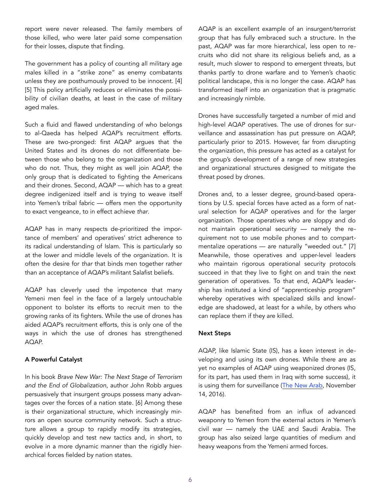report were never released. The family members of those killed, who were later paid some compensation for their losses, dispute that finding.

The government has a policy of counting all military age males killed in a "strike zone" as enemy combatants unless they are posthumously proved to be innocent. [4] [5] This policy artificially reduces or eliminates the possibility of civilian deaths, at least in the case of military aged males.

Such a fluid and flawed understanding of who belongs to al-Qaeda has helped AQAP's recruitment efforts. These are two-pronged: first AQAP argues that the United States and its drones do not differentiate between those who belong to the organization and those who do not. Thus, they might as well join AQAP, the only group that is dedicated to fighting the Americans and their drones. Second, AQAP — which has to a great degree indigenized itself and is trying to weave itself into Yemen's tribal fabric — offers men the opportunity to exact vengeance, to in effect achieve *thar*.

AQAP has in many respects de-prioritized the importance of members' and operatives' strict adherence to its radical understanding of Islam. This is particularly so at the lower and middle levels of the organization. It is often the desire for *thar* that binds men together rather than an acceptance of AQAP's militant Salafist beliefs.

AQAP has cleverly used the impotence that many Yemeni men feel in the face of a largely untouchable opponent to bolster its efforts to recruit men to the growing ranks of its fighters. While the use of drones has aided AQAP's recruitment efforts, this is only one of the ways in which the use of drones has strengthened AQAP.

#### A Powerful Catalyst

In his book *Brave New War: The Next Stage of Terrorism and the End of Globalization*, author John Robb argues persuasively that insurgent groups possess many advantages over the forces of a nation state. [6] Among these is their organizational structure, which increasingly mirrors an open source community network. Such a structure allows a group to rapidly modify its strategies, quickly develop and test new tactics and, in short, to evolve in a more dynamic manner than the rigidly hierarchical forces fielded by nation states.

AQAP is an excellent example of an insurgent/terrorist group that has fully embraced such a structure. In the past, AQAP was far more hierarchical, less open to recruits who did not share its religious beliefs and, as a result, much slower to respond to emergent threats, but thanks partly to drone warfare and to Yemen's chaotic political landscape, this is no longer the case. AQAP has transformed itself into an organization that is pragmatic and increasingly nimble.

Drones have successfully targeted a number of mid and high-level AQAP operatives. The use of drones for surveillance and assassination has put pressure on AQAP, particularly prior to 2015. However, far from disrupting the organization, this pressure has acted as a catalyst for the group's development of a range of new strategies and organizational structures designed to mitigate the threat posed by drones.

Drones and, to a lesser degree, ground-based operations by U.S. special forces have acted as a form of natural selection for AQAP operatives and for the larger organization. Those operatives who are sloppy and do not maintain operational security — namely the requirement not to use mobile phones and to compartmentalize operations — are naturally "weeded out." [7] Meanwhile, those operatives and upper-level leaders who maintain rigorous operational security protocols succeed in that they live to fight on and train the next generation of operatives. To that end, AQAP's leadership has instituted a kind of "apprenticeship program" whereby operatives with specialized skills and knowledge are shadowed, at least for a while, by others who can replace them if they are killed.

#### Next Steps

AQAP, like Islamic State (IS), has a keen interest in developing and using its own drones. While there are as yet no examples of AQAP using weaponized drones (IS, for its part, has used them in Iraq with some success), it is using them for surveillance ([The New Arab,](https://www.alaraby.co.uk/english/news/2016/11/14/is-weaponise-drones-and-bring-terror-to-mosuls-skies) November 14, 2016).

AQAP has benefited from an influx of advanced weaponry to Yemen from the external actors in Yemen's civil war — namely the UAE and Saudi Arabia. The group has also seized large quantities of medium and heavy weapons from the Yemeni armed forces.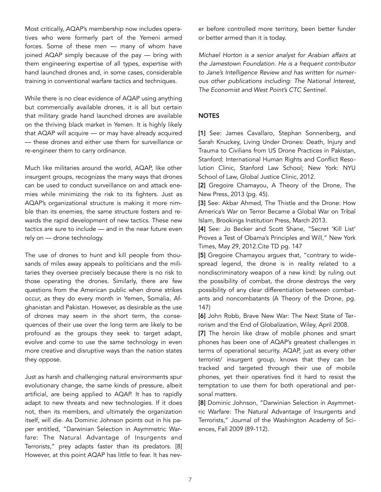Most critically, AQAP's membership now includes operatives who were formerly part of the Yemeni armed forces. Some of these men — many of whom have joined AQAP simply because of the pay — bring with them engineering expertise of all types, expertise with hand launched drones and, in some cases, considerable training in conventional warfare tactics and techniques.

While there is no clear evidence of AQAP using anything but commercially available drones, it is all but certain that military grade hand launched drones are available on the thriving black market in Yemen. It is highly likely that AQAP will acquire — or may have already acquired — these drones and either use them for surveillance or re-engineer them to carry ordinance.

Much like militaries around the world, AQAP, like other insurgent groups, recognizes the many ways that drones can be used to conduct surveillance on and attack enemies while minimizing the risk to its fighters. Just as AQAP's organizational structure is making it more nimble than its enemies, the same structure fosters and rewards the rapid development of new tactics. These new tactics are sure to include — and in the near future even rely on — drone technology.

The use of drones to hunt and kill people from thousands of miles away appeals to politicians and the militaries they oversee precisely because there is no risk to those operating the drones. Similarly, there are few questions from the American public when drone strikes occur, as they do every month in Yemen, Somalia, Afghanistan and Pakistan. However, as desirable as the use of drones may seem in the short term, the consequences of their use over the long term are likely to be profound as the groups they seek to target adapt, evolve and come to use the same technology in even more creative and disruptive ways than the nation states they oppose.

Just as harsh and challenging natural environments spur evolutionary change, the same kinds of pressure, albeit artificial, are being applied to AQAP. It has to rapidly adapt to new threats and new technologies. If it does not, then its members, and ultimately the organization itself, will die. As Dominic Johnson points out in his paper entitled, "Darwinian Selection in Asymmetric Warfare: The Natural Advantage of Insurgents and Terrorists," prey adapts faster than its predators. [8] However, at this point AQAP has little to fear. It has never before controlled more territory, been better funder or better armed than it is today.

*Michael Horton is a senior analyst for Arabian affairs at the Jamestown Foundation. He is a frequent contributor to Jane's Intelligence Review and has written for numerous other publications including: The National Interest, The Economist and West Point's CTC Sentinel.* 

#### **NOTES**

[1] See: James Cavallaro, Stephan Sonnenberg, and Sarah Knuckey, Living Under Drones: Death, Injury and Trauma to Civilians from US Drone Practices in Pakistan, Stanford: International Human Rights and Conflict Resolution Clinic, Stanford Law School; New York: NYU School of Law, Global Justice Clinic, 2012.

[2] Gregoire Chamayou, A Theory of the Drone, The New Press, 2013 (pg. 45).

[3] See: Akbar Ahmed, The Thistle and the Drone: How America's War on Terror Became a Global War on Tribal Islam, Brookings Institution Press, March 2013.

[4] See: Jo Becker and Scott Shane, "Secret 'Kill List' Proves a Test of Obama's Principles and Will," New York Times, May 29, 2012.Cite TD pg. 147

[5] Gregoire Chamayou argues that, "contrary to widespread legend, the drone is in reality related to a nondiscriminatory weapon of a new kind: by ruling out the possibility of combat, the drone destroys the very possibility of any clear differentiation between combatants and noncombatants (A Theory of the Drone, pg. 147)

[6] John Robb, Brave New War: The Next State of Terrorism and the End of Globalization, Wiley, April 2008.

[7] The heroin like draw of mobile phones and smart phones has been one of AQAP's greatest challenges in terms of operational security. AQAP, just as every other terrorist/ insurgent group, knows that they can be tracked and targeted through their use of mobile phones, yet their operatives find it hard to resist the temptation to use them for both operational and personal matters.

[8] Dominic Johnson, "Darwinian Selection in Asymmetric Warfare: The Natural Advantage of Insurgents and Terrorists," Journal of the Washington Academy of Sciences, Fall 2009 (89-112).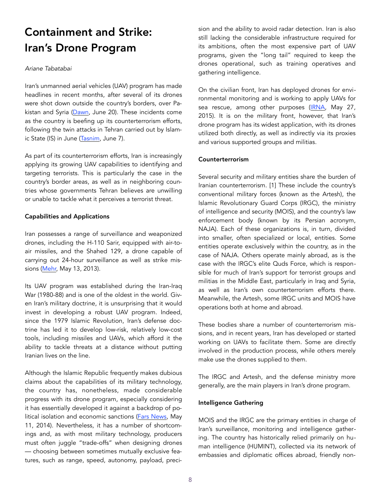### Containment and Strike: Iran's Drone Program

#### *Ariane Tabatabai*

Iran's unmanned aerial vehicles (UAV) program has made headlines in recent months, after several of its drones were shot down outside the country's borders, over Pakistan and Syria [\(Dawn](https://www.dawn.com/news/1340703), June 20). These incidents come as the country is beefing up its counterterrorism efforts, following the twin attacks in Tehran carried out by Islamic State (IS) in June ([Tasnim](https://www.tasnimnews.com/fa/news/1396/03/17/1430094/), June 7).

As part of its counterterrorism efforts, Iran is increasingly applying its growing UAV capabilities to identifying and targeting terrorists. This is particularly the case in the country's border areas, as well as in neighboring countries whose governments Tehran believes are unwilling or unable to tackle what it perceives a terrorist threat.

#### Capabilities and Applications

Iran possesses a range of surveillance and weaponized drones, including the H-110 Sarir, equipped with air-toair missiles, and the Shahed 129, a drone capable of carrying out 24-hour surveillance as well as strike mis-sions ([Mehr,](http://en.mehrnews.com/news/55239/First-Iranian-air-to-air-combat-drone) May 13, 2013).

Its UAV program was established during the Iran-Iraq War (1980-88) and is one of the oldest in the world. Given Iran's military doctrine, it is unsurprising that it would invest in developing a robust UAV program. Indeed, since the 1979 Islamic Revolution, Iran's defense doctrine has led it to develop low-risk, relatively low-cost tools, including missiles and UAVs, which afford it the ability to tackle threats at a distance without putting Iranian lives on the line.

Although the Islamic Republic frequently makes dubious claims about the capabilities of its military technology, the country has, nonetheless, made considerable progress with its drone program, especially considering it has essentially developed it against a backdrop of po-litical isolation and economic sanctions [\(Fars News,](http://www.farsnews.com/imgrep.php?nn=13930221001447) May 11, 2014). Nevertheless, it has a number of shortcomings and, as with most military technology, producers must often juggle "trade-offs" when designing drones — choosing between sometimes mutually exclusive features, such as range, speed, autonomy, payload, precision and the ability to avoid radar detection. Iran is also still lacking the considerable infrastructure required for its ambitions, often the most expensive part of UAV programs, given the "long tail" required to keep the drones operational, such as training operatives and gathering intelligence.

On the civilian front, Iran has deployed drones for environmental monitoring and is working to apply UAVs for sea rescue, among other purposes [\(IRNA,](http://www.irna.ir/fa/News/81625054) May 27, 2015). It is on the military front, however, that Iran's drone program has its widest application, with its drones utilized both directly, as well as indirectly via its proxies and various supported groups and militias.

#### Counterterrorism

Several security and military entities share the burden of Iranian counterterrorism. [1] These include the country's conventional military forces (known as the Artesh), the Islamic Revolutionary Guard Corps (IRGC), the ministry of intelligence and security (MOIS), and the country's law enforcement body (known by its Persian acronym, NAJA). Each of these organizations is, in turn, divided into smaller, often specialized or local, entities. Some entities operate exclusively within the country, as in the case of NAJA. Others operate mainly abroad, as is the case with the IRGC's elite Quds Force, which is responsible for much of Iran's support for terrorist groups and militias in the Middle East, particularly in Iraq and Syria, as well as Iran's own counterterrorism efforts there. Meanwhile, the Artesh, some IRGC units and MOIS have operations both at home and abroad.

These bodies share a number of counterterrorism missions, and in recent years, Iran has developed or started working on UAVs to facilitate them. Some are directly involved in the production process, while others merely make use the drones supplied to them.

The IRGC and Artesh, and the defense ministry more generally, are the main players in Iran's drone program.

#### Intelligence Gathering

MOIS and the IRGC are the primary entities in charge of Iran's surveillance, monitoring and intelligence gathering. The country has historically relied primarily on human intelligence (HUMINT), collected via its network of embassies and diplomatic offices abroad, friendly non-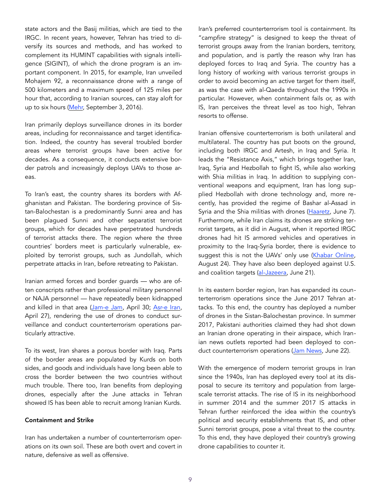state actors and the Basij militias, which are tied to the IRGC. In recent years, however, Tehran has tried to diversify its sources and methods, and has worked to complement its HUMINT capabilities with signals intelligence (SIGINT), of which the drone program is an important component. In 2015, for example, Iran unveiled Mohajem 92, a reconnaissance drone with a range of 500 kilometers and a maximum speed of 125 miles per hour that, according to Iranian sources, can stay aloft for up to six hours ([Mehr,](http://en.mehrnews.com/news/119375/Why-encroaching-on-Iranian-soil-is-an-unattainable-dream) September 3, 2016).

Iran primarily deploys surveillance drones in its border areas, including for reconnaissance and target identification. Indeed, the country has several troubled border areas where terrorist groups have been active for decades. As a consequence, it conducts extensive border patrols and increasingly deploys UAVs to those areas.

To Iran's east, the country shares its borders with Afghanistan and Pakistan. The bordering province of Sistan-Balochestan is a predominantly Sunni area and has been plagued Sunni and other separatist terrorist groups, which for decades have perpetrated hundreds of terrorist attacks there. The region where the three countries' borders meet is particularly vulnerable, exploited by terrorist groups, such as Jundollah, which perpetrate attacks in Iran, before retreating to Pakistan.

Iranian armed forces and border guards — who are often conscripts rather than professional military personnel or NAJA personnel — have repeatedly been kidnapped and killed in that area [\(Jam-e Jam](http://jamejamonline.ir/online/2826091282237204632/), April 30; [Asr-e Iran,](http://www.asriran.com/fa/news/536000/9-) April 27), rendering the use of drones to conduct surveillance and conduct counterterrorism operations particularly attractive.

To its west, Iran shares a porous border with Iraq. Parts of the border areas are populated by Kurds on both sides, and goods and individuals have long been able to cross the border between the two countries without much trouble. There too, Iran benefits from deploying drones, especially after the June attacks in Tehran showed IS has been able to recruit among Iranian Kurds.

#### Containment and Strike

Iran has undertaken a number of counterterrorism operations on its own soil. These are both overt and covert in nature, defensive as well as offensive.

Iran's preferred counterterrorism tool is containment. Its "campfire strategy" is designed to keep the threat of terrorist groups away from the Iranian borders, territory, and population, and is partly the reason why Iran has deployed forces to Iraq and Syria. The country has a long history of working with various terrorist groups in order to avoid becoming an active target for them itself, as was the case with al-Qaeda throughout the 1990s in particular. However, when containment fails or, as with IS, Iran perceives the threat level as too high, Tehran resorts to offense.

Iranian offensive counterterrorism is both unilateral and multilateral. The country has put boots on the ground, including both IRGC and Artesh, in Iraq and Syria. It leads the "Resistance Axis," which brings together Iran, Iraq, Syria and Hezbollah to fight IS, while also working with Shia militias in Iraq. In addition to supplying conventional weapons and equipment, Iran has long supplied Hezbollah with drone technology and, more recently, has provided the regime of Bashar al-Assad in Syria and the Shia militias with drones ([Haaretz,](http://www.haaretz.com/middle-east-news/syria/1.794419) June 7). Furthermore, while Iran claims its drones are striking terrorist targets, as it did in August, when it reported IRGC drones had hit IS armored vehicles and operatives in proximity to the Iraq-Syria border, there is evidence to suggest this is not the UAVs' only use [\(Khabar Online,](http://www.khabaronline.ir/detail/700654/Politics/military) August 24). They have also been deployed against U.S. and coalition targets ([al-Jazeera,](http://www.aljazeera.com/news/2017/06/shoots-iranian-drone-syria-170621053255580.html) June 21).

In its eastern border region, Iran has expanded its counterterrorism operations since the June 2017 Tehran attacks. To this end, the country has deployed a number of drones in the Sistan-Balochestan province. In summer 2017, Pakistani authorities claimed they had shot down an Iranian drone operating in their airspace, which Iranian news outlets reported had been deployed to conduct counterterrorism operations [\(Jam News,](http://www.jamnews.ir/detail/News/804069) June 22).

With the emergence of modern terrorist groups in Iran since the 1940s, Iran has deployed every tool at its disposal to secure its territory and population from largescale terrorist attacks. The rise of IS in its neighborhood in summer 2014 and the summer 2017 IS attacks in Tehran further reinforced the idea within the country's political and security establishments that IS, and other Sunni terrorist groups, pose a vital threat to the country. To this end, they have deployed their country's growing drone capabilities to counter it.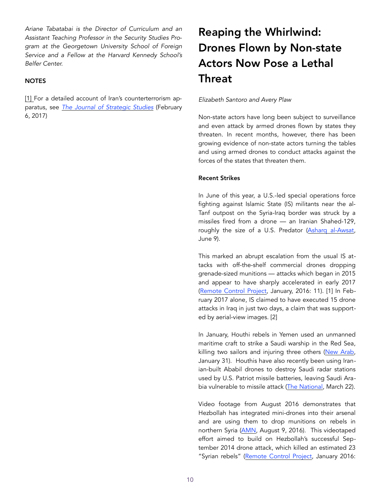*Ariane Tabatabai is the Director of Curriculum and an Assistant Teaching Professor in the Security Studies Program at the Georgetown University School of Foreign Service and a Fellow at the Harvard Kennedy School's Belfer Center.* 

#### **NOTES**

[1] For a detailed account of Iran's counterterrorism apparatus, see *[The Journal of Strategic Studies](http://www.tandfonline.com/doi/abs/10.1080/01402390.2017.1283613)* (February 6, 2017)

## Reaping the Whirlwind: Drones Flown by Non-state Actors Now Pose a Lethal **Threat**

#### *Elizabeth Santoro and Avery Plaw*

Non-state actors have long been subject to surveillance and even attack by armed drones flown by states they threaten. In recent months, however, there has been growing evidence of non-state actors turning the tables and using armed drones to conduct attacks against the forces of the states that threaten them.

#### Recent Strikes

In June of this year, a U.S.-led special operations force fighting against Islamic State (IS) militants near the al-Tanf outpost on the Syria-Iraq border was struck by a missiles fired from a drone — an Iranian Shahed-129, roughly the size of a U.S. Predator ([Asharq al-Awsat,](https://english.aawsat.com/paulataha/news-middle-east/syrian-drone-shot-firing-coalition-forces) June 9).

This marked an abrupt escalation from the usual IS attacks with off-the-shelf commercial drones dropping grenade-sized munitions — attacks which began in 2015 and appear to have sharply accelerated in early 2017 ([Remote Control Project,](http://remotecontrolproject.org/wp-content/uploads/2016/01/Hostile-use-of-drones-report_open-briefing.pdf) January, 2016: 11). [1] In February 2017 alone, IS claimed to have executed 15 drone attacks in Iraq in just two days, a claim that was supported by aerial-view images. [2]

In January, Houthi rebels in Yemen used an unmanned maritime craft to strike a Saudi warship in the Red Sea, killing two sailors and injuring three others ([New Arab,](https://www.alaraby.co.uk/english/news/2017/1/30/houthi-rebels-destroy-saudi-warship-off-yemen-coast) January 31). Houthis have also recently been using Iranian-built Ababil drones to destroy Saudi radar stations used by U.S. Patriot missile batteries, leaving Saudi Ara-bia vulnerable to missile attack ([The National,](https://www.thenational.ae/world/iran-smuggling-kamikaze-drones-to-yemen-s-houthi-rebels-1.41483) March 22).

Video footage from August 2016 demonstrates that Hezbollah has integrated mini-drones into their arsenal and are using them to drop munitions on rebels in northern Syria ([AMN,](https://www.almasdarnews.com/article/hezbollah-drone-carries-airstrike-southern-aleppo-video/) August 9, 2016). This videotaped effort aimed to build on Hezbollah's successful September 2014 drone attack, which killed an estimated 23 "Syrian rebels" [\(Remote Control Project,](http://remotecontrolproject.org/wp-content/uploads/2016/01/Hostile-use-of-drones-report_open-briefing.pdf) January 2016: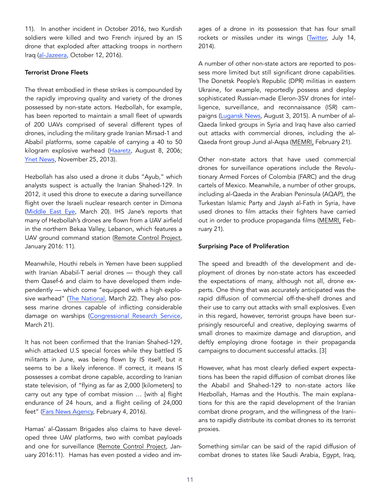11). In another incident in October 2016, two Kurdish soldiers were killed and two French injured by an IS drone that exploded after attacking troops in northern Iraq ([al-Jazeera](http://www.aljazeera.com/news/2016/10/isil-drone-deadly-iraq-attack-161012151854280.html), October 12, 2016).

#### Terrorist Drone Fleets

The threat embodied in these strikes is compounded by the rapidly improving quality and variety of the drones possessed by non-state actors. Hezbollah, for example, has been reported to maintain a small fleet of upwards of 200 UAVs comprised of several different types of drones, including the military grade Iranian Mirsad-1 and Ababil platforms, some capable of carrying a 40 to 50 kilogram explosive warhead [\(Haaretz](http://www.haaretz.com/idf-downs-hezbollah-uav-en-route-to-haifa-1.194670), August 8, 2006; [Ynet News,](https://www.ynetnews.com/articles/0,7340,L-4457653,00.html) November 25, 2013).

Hezbollah has also used a drone it dubs "Ayub," which analysts suspect is actually the Iranian Shahed-129. In 2012, it used this drone to execute a daring surveillance flight over the Israeli nuclear research center in Dimona ([Middle East Eye](http://www.middleeasteye.net/news/analysis-hezbollah-enters-new-war-use-armed-drones-syria-11412100.), March 20). IHS Jane's reports that many of Hezbollah's drones are flown from a UAV airfield in the northern Bekaa Valley, Lebanon, which features a UAV ground command station ([Remote Control Project,](http://remotecontrolproject.org/wp-content/uploads/2016/01/Hostile-use-of-drones-report_open-briefing.pdf) January 2016: 11).

Meanwhile, Houthi rebels in Yemen have been supplied with Iranian Ababil-T aerial drones — though they call them Qasef-6 and claim to have developed them independently — which come "equipped with a high explosive warhead" [\(The National,](https://www.thenational.ae/world/iran-smuggling-kamikaze-drones-to-yemen-s-houthi-rebels-1.41483) March 22). They also possess marine drones capable of inflicting considerable damage on warships [\(Congressional Research Service,](https://fas.org/sgp/crs/mideast/R43960.pdf) March 21).

It has not been confirmed that the Iranian Shahed-129, which attacked U.S special forces while they battled IS militants in June, was being flown by IS itself, but it seems to be a likely inference. If correct, it means IS possesses a combat drone capable, according to Iranian state television, of "flying as far as 2,000 [kilometers] to carry out any type of combat mission … [with a] flight endurance of 24 hours, and a flight ceiling of 24,000 feet" ([Fars News Agency,](http://en.farsnews.com/newstext.aspx?nn=13941115000734) February 4, 2016).

Hamas' al-Qassam Brigades also claims to have developed three UAV platforms, two with combat payloads and one for surveillance [\(Remote Control Project,](http://remotecontrolproject.org/wp-content/uploads/2016/01/Hostile-use-of-drones-report_open-briefing.pdf) January 2016:11). Hamas has even posted a video and images of a drone in its possession that has four small rockets or missiles under its wings [\(Twitter,](http://t.co/moy8kZenD3) July 14, 2014).

A number of other non-state actors are reported to possess more limited but still significant drone capabilities. The Donetsk People's Republic (DPR) militias in eastern Ukraine, for example, reportedly possess and deploy sophisticated Russian-made Eleron-3SV drones for intelligence, surveillance, and reconnaissance (ISR) campaigns ([Lugansk News,](http://lugansk-news.com/eleron-3sv-200k-russian-military-intelligence-drone-as-a-present-to-donetsk-terrorists/) August 3, 2015). A number of al-Qaeda linked groups in Syria and Iraq have also carried out attacks with commercial drones, including the al-Qaeda front group Jund al-Aqsa [\(MEMRI,](https://www.memri.org/reports/decade-jihadi-organizations-use-drones-%E2%80%93-early-experiments-hizbullah-hamas-and-al-qaeda%22%20%5Cl%20%22Al%20Qaeda%20Central%20Anchor) February 21).

Other non-state actors that have used commercial drones for surveillance operations include the Revolutionary Armed Forces of Colombia (FARC) and the drug cartels of Mexico. Meanwhile, a number of other groups, including al-Qaeda in the Arabian Peninsula (AQAP), the Turkestan Islamic Party and Jaysh al-Fath in Syria, have used drones to film attacks their fighters have carried out in order to produce propaganda films ([MEMRI](https://www.memri.org/reports/decade-jihadi-organizations-use-drones-%E2%80%93-early-experiments-hizbullah-hamas-and-al-qaeda%22%20%5Cl%20%22Al%20Qaeda%20Central%20Anchor), February 21).

#### Surprising Pace of Proliferation

The speed and breadth of the development and deployment of drones by non-state actors has exceeded the expectations of many, although not all, drone experts. One thing that was accurately anticipated was the rapid diffusion of commercial off-the-shelf drones and their use to carry out attacks with small explosives. Even in this regard, however, terrorist groups have been surprisingly resourceful and creative, deploying swarms of small drones to maximize damage and disruption, and deftly employing drone footage in their propaganda campaigns to document successful attacks. [3]

However, what has most clearly defied expert expectations has been the rapid diffusion of combat drones like the Ababil and Shahed-129 to non-state actors like Hezbollah, Hamas and the Houthis. The main explanations for this are the rapid development of the Iranian combat drone program, and the willingness of the Iranians to rapidly distribute its combat drones to its terrorist proxies.

Something similar can be said of the rapid diffusion of combat drones to states like Saudi Arabia, Egypt, Iraq,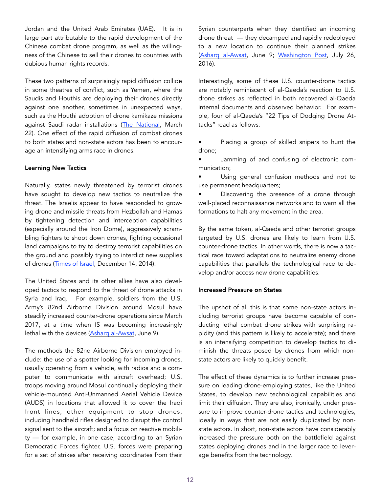Jordan and the United Arab Emirates (UAE). It is in large part attributable to the rapid development of the Chinese combat drone program, as well as the willingness of the Chinese to sell their drones to countries with dubious human rights records.

These two patterns of surprisingly rapid diffusion collide in some theatres of conflict, such as Yemen, where the Saudis and Houthis are deploying their drones directly against one another, sometimes in unexpected ways, such as the Houthi adoption of drone kamikaze missions against Saudi radar installations ([The National,](https://www.thenational.ae/world/iran-smuggling-kamikaze-drones-to-yemen-s-houthi-rebels-1.41483) March 22). One effect of the rapid diffusion of combat drones to both states and non-state actors has been to encourage an intensifying arms race in drones.

#### Learning New Tactics

Naturally, states newly threatened by terrorist drones have sought to develop new tactics to neutralize the threat. The Israelis appear to have responded to growing drone and missile threats from Hezbollah and Hamas by tightening detection and interception capabilities (especially around the Iron Dome), aggressively scrambling fighters to shoot down drones, fighting occasional land campaigns to try to destroy terrorist capabilities on the ground and possibly trying to interdict new supplies of drones ([Times of Israel](https://www.timesofisrael.com/israel-scrambles-jets-after-hamas-launches-drone-over-gaza/), December 14, 2014).

The United States and its other allies have also developed tactics to respond to the threat of drone attacks in Syria and Iraq. For example, soldiers from the U.S. Army's 82nd Airborne Division around Mosul have steadily increased counter-drone operations since March 2017, at a time when IS was becoming increasingly lethal with the devices ([Asharq al-Awsat](https://english.aawsat.com/paulataha/news-middle-east/syrian-drone-shot-firing-coalition-forces), June 9).

The methods the 82nd Airborne Division employed include: the use of a spotter looking for incoming drones, usually operating from a vehicle, with radios and a computer to communicate with aircraft overhead; U.S. troops moving around Mosul continually deploying their vehicle-mounted Anti-Unmanned Aerial Vehicle Device (AUDS) in locations that allowed it to cover the Iraqi front lines; other equipment to stop drones, including handheld rifles designed to disrupt the control signal sent to the aircraft; and a focus on reactive mobility — for example, in one case, according to an Syrian Democratic Forces fighter, U.S. forces were preparing for a set of strikes after receiving coordinates from their Syrian counterparts when they identified an incoming drone threat — they decamped and rapidly redeployed to a new location to continue their planned strikes ([Asharq al-Awsat,](https://english.aawsat.com/paulataha/news-middle-east/syrian-drone-shot-firing-coalition-forces) June 9; [Washington Post,](https://www.washingtonpost.com/news/checkpoint/wp/2016/07/26/the-us-is-apparently-using-anti-drone-rifles-against-the-islamic-state/?utm_term=.76c199d9036a) July 26, 2016).

Interestingly, some of these U.S. counter-drone tactics are notably reminiscent of al-Qaeda's reaction to U.S. drone strikes as reflected in both recovered al-Qaeda internal documents and observed behavior. For example, four of al-Qaeda's "22 Tips of Dodging Drone Attacks" read as follows:

Placing a group of skilled snipers to hunt the drone;

• Jamming of and confusing of electronic communication;

Using general confusion methods and not to use permanent headquarters;

• Discovering the presence of a drone through well-placed reconnaissance networks and to warn all the formations to halt any movement in the area.

By the same token, al-Qaeda and other terrorist groups targeted by U.S. drones are likely to learn from U.S. counter-drone tactics. In other words, there is now a tactical race toward adaptations to neutralize enemy drone capabilities that parallels the technological race to develop and/or access new drone capabilities.

#### Increased Pressure on States

The upshot of all this is that some non-state actors including terrorist groups have become capable of conducting lethal combat drone strikes with surprising rapidity (and this pattern is likely to accelerate); and there is an intensifying competition to develop tactics to diminish the threats posed by drones from which nonstate actors are likely to quickly benefit.

The effect of these dynamics is to further increase pressure on leading drone-employing states, like the United States, to develop new technological capabilities and limit their diffusion. They are also, ironically, under pressure to improve counter-drone tactics and technologies, ideally in ways that are not easily duplicated by nonstate actors. In short, non-state actors have considerably increased the pressure both on the battlefield against states deploying drones and in the larger race to leverage benefits from the technology.